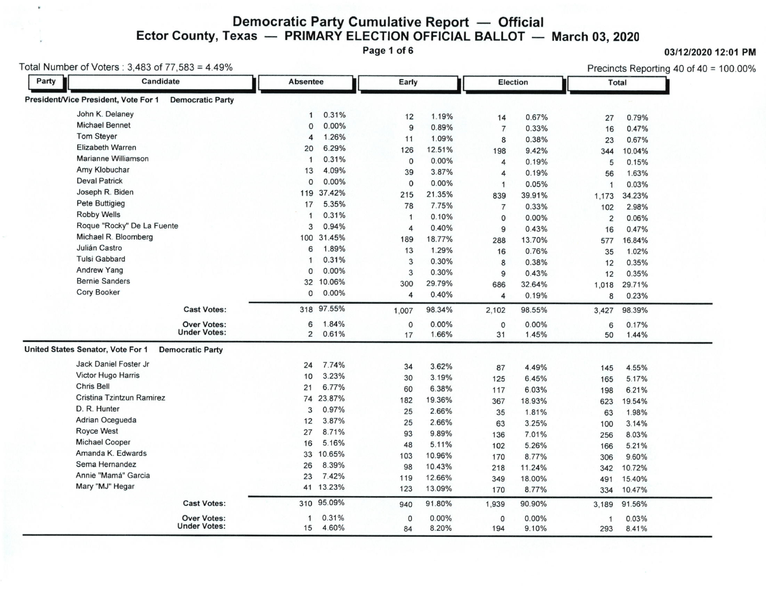## Democratic Party Cumulative Report — Official<br>exas — PRIMARY ELECTION OFFICIAL BALLOT — Ector County, Texas — PRIMARY ELECTION OFFICIAL BALLOT — March 03, 2020<br>Page 1 of 6

Page 1 of 6 **O3/12/2020 12:01 PM** 

Total Number of Voters : 3,483 of 77,583 = 4.49% Precincts Reporting 40 of 40 = 100.00%

 $\ast$ 

| Party | Candidate                                                       |                     | <b>Absentee</b> | Early         |                | Election       |                | <b>Total</b> |                |
|-------|-----------------------------------------------------------------|---------------------|-----------------|---------------|----------------|----------------|----------------|--------------|----------------|
|       | President/Vice President, Vote For 1<br><b>Democratic Party</b> |                     |                 |               |                |                |                |              |                |
|       | John K. Delaney                                                 | $\mathbf{1}$        | 0.31%           | 12            | 1.19%          | 14             | 0.67%          | 27           | 0.79%          |
|       | <b>Michael Bennet</b>                                           | $\Omega$            | 0.00%           | 9             | 0.89%          | $\overline{7}$ | 0.33%          | 16           | 0.47%          |
|       | <b>Tom Steyer</b>                                               | 4                   | 1.26%           | 11            | 1.09%          | 8              | 0.38%          | 23           | 0.67%          |
|       | <b>Elizabeth Warren</b>                                         | 20                  | 6.29%           | 126           | 12.51%         | 198            | 9.42%          | 344          | 10.04%         |
|       | <b>Marianne Williamson</b>                                      | $\mathbf 1$         | 0.31%           | $\circ$       | 0.00%          | $\overline{4}$ | 0.19%          | 5            | 0.15%          |
|       | Amy Klobuchar                                                   | 13                  | 4.09%           | 39            | 3.87%          | 4              | 0.19%          | 56           | 1.63%          |
|       | <b>Deval Patrick</b>                                            | $\mathbf{0}$        | 0.00%           | 0             | 0.00%          | $\mathbf{1}$   | 0.05%          | $\mathbf{1}$ | 0.03%          |
|       | Joseph R. Biden                                                 | 119                 | 37.42%          | 215           | 21.35%         | 839            | 39.91%         | 1,173        | 34.23%         |
|       | <b>Pete Buttigieg</b>                                           | 17                  | 5.35%           | 78            | 7.75%          | $\overline{7}$ | 0.33%          | 102          | 2.98%          |
|       | Robby Wells                                                     |                     | 0.31%           | $\mathbf{1}$  | 0.10%          | $\mathbf{0}$   | 0.00%          | 2            | 0.06%          |
|       | Roque "Rocky" De La Fuente                                      | 3                   | 0.94%           | 4             | 0.40%          | 9              | 0.43%          | 16           | 0.47%          |
|       | Michael R. Bloomberg                                            | 100                 | 31.45%          | 189           | 18.77%         | 288            | 13.70%         | 577          | 16.84%         |
|       | Julián Castro                                                   | 6                   | 1.89%           | 13            | 1.29%          | 16             | 0.76%          | 35           | 1.02%          |
|       | <b>Tulsi Gabbard</b>                                            |                     | 0.31%           | 3             | 0.30%          | 8              | 0.38%          | 12           | 0.35%          |
|       | <b>Andrew Yang</b>                                              | $\Omega$            | 0.00%           | 3             | 0.30%          | 9              | 0.43%          | 12           | 0.35%          |
|       | <b>Bernie Sanders</b>                                           | 32                  | 10.06%          | 300           | 29.79%         | 686            | 32.64%         | 1,018        | 29.71%         |
|       | <b>Cory Booker</b>                                              | 0                   | 0.00%           | 4             | 0.40%          | 4              | 0.19%          | 8            | 0.23%          |
|       | <b>Cast Votes:</b>                                              |                     | 318 97.55%      | 1,007         | 98.34%         | 2,102          | 98.55%         | 3,427        | 98.39%         |
|       |                                                                 |                     |                 |               |                |                |                |              |                |
|       | <b>Over Votes:</b><br><b>Under Votes:</b>                       | 6<br>$\overline{2}$ | 1.84%<br>0.61%  | $\circ$<br>17 | 0.00%<br>1.66% | 0<br>31        | 0.00%<br>1.45% | 6<br>50      | 0.17%<br>1.44% |
|       | United States Senator, Vote For 1<br><b>Democratic Party</b>    |                     |                 |               |                |                |                |              |                |
|       | Jack Daniel Foster Jr                                           | 24                  | 7.74%           | 34            | 3.62%          | 87             | 4.49%          | 145          | 4.55%          |
|       | Victor Hugo Harris                                              | 10                  | 3.23%           | 30            | 3.19%          | 125            | 6.45%          | 165          | 5.17%          |
|       | <b>Chris Bell</b>                                               | 21                  | 6.77%           | 60            | 6.38%          | 117            | 6.03%          | 198          | 6.21%          |
|       | Cristina Tzintzun Ramirez                                       | 74                  | 23.87%          | 182           | 19.36%         | 367            | 18.93%         | 623          | 19.54%         |
|       | D. R. Hunter                                                    | 3                   | 0.97%           | 25            | 2.66%          | 35             | 1.81%          | 63           | 1.98%          |
|       | Adrian Ocegueda                                                 | 12                  | 3.87%           | 25            | 2.66%          | 63             | 3.25%          | 100          | 3.14%          |
|       | Royce West                                                      | 27                  | 8.71%           | 93            | 9.89%          | 136            | 7.01%          | 256          | 8.03%          |
|       | <b>Michael Cooper</b>                                           | 16                  | 5.16%           | 48            | 5.11%          | 102            | 5.26%          | 166          | 5.21%          |
|       | Amanda K. Edwards                                               | 33                  | 10.65%          | 103           | 10.96%         | 170            | 8.77%          | 306          | 9.60%          |
|       | Sema Hernandez                                                  | 26                  | 8.39%           | 98            | 10.43%         | 218            | 11.24%         | 342          | 10.72%         |
|       | Annie "Mamá" Garcia                                             | 23                  | 7.42%           | 119           | 12.66%         | 349            | 18.00%         | 491          | 15.40%         |
|       | Mary "MJ" Hegar                                                 |                     | 41 13.23%       | 123           | 13.09%         | 170            | 8.77%          | 334          | 10.47%         |
|       | <b>Cast Votes:</b>                                              | 310                 | 95.09%          | 940           | 91.80%         | 1,939          | 90.90%         | 3,189        | 91.56%         |
|       | <b>Over Votes:</b>                                              | $\mathbf{1}$        | 0.31%           | $\mathbf 0$   | 0.00%          | 0              | 0.00%          | $\mathbf{1}$ | 0.03%          |
|       | <b>Under Votes:</b>                                             | 15                  | 4.60%           | 84            | 8.20%          | 194            | 9.10%          | 293          | 8.41%          |